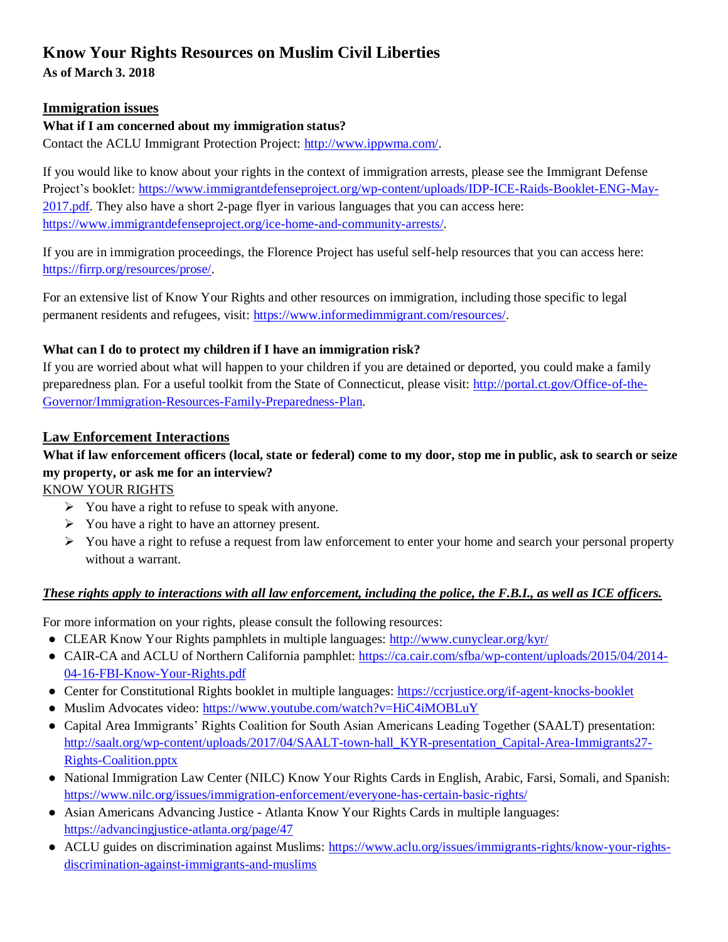# **Know Your Rights Resources on Muslim Civil Liberties**

**As of March 3. 2018**

# **Immigration issues**

# **What if I am concerned about my immigration status?**

Contact the ACLU Immigrant Protection Project: [http://www.ippwma.com/.](http://www.ippwma.com/)

If you would like to know about your rights in the context of immigration arrests, please see the Immigrant Defense Project's booklet: [https://www.immigrantdefenseproject.org/wp-content/uploads/IDP-ICE-Raids-Booklet-ENG-May-](https://www.immigrantdefenseproject.org/wp-content/uploads/IDP-ICE-Raids-Booklet-ENG-May-2017.pdf)[2017.pdf.](https://www.immigrantdefenseproject.org/wp-content/uploads/IDP-ICE-Raids-Booklet-ENG-May-2017.pdf) They also have a short 2-page flyer in various languages that you can access here: [https://www.immigrantdefenseproject.org/ice-home-and-community-arrests/.](https://www.immigrantdefenseproject.org/ice-home-and-community-arrests/)

If you are in immigration proceedings, the Florence Project has useful self-help resources that you can access here: [https://firrp.org/resources/prose/.](https://firrp.org/resources/prose/)

For an extensive list of Know Your Rights and other resources on immigration, including those specific to legal permanent residents and refugees, visit: [https://www.informedimmigrant.com/resources/.](https://www.informedimmigrant.com/resources/)

## **What can I do to protect my children if I have an immigration risk?**

If you are worried about what will happen to your children if you are detained or deported, you could make a family preparedness plan. For a useful toolkit from the State of Connecticut, please visit: [http://portal.ct.gov/Office-of-the-](http://portal.ct.gov/Office-of-the-Governor/Immigration-Resources-Family-Preparedness-Plan)[Governor/Immigration-Resources-Family-Preparedness-Plan.](http://portal.ct.gov/Office-of-the-Governor/Immigration-Resources-Family-Preparedness-Plan)

# **Law Enforcement Interactions**

# **What if law enforcement officers (local, state or federal) come to my door, stop me in public, ask to search or seize my property, or ask me for an interview?**

KNOW YOUR RIGHTS

- ➢ You have a right to refuse to speak with anyone.
- ➢ You have a right to have an attorney present.
- ➢ You have a right to refuse a request from law enforcement to enter your home and search your personal property without a warrant.

### *These rights apply to interactions with all law enforcement, including the police, the F.B.I., as well as ICE officers.*

For more information on your rights, please consult the following resources:

- CLEAR Know Your Rights pamphlets in multiple languages:<http://www.cunyclear.org/kyr/>
- CAIR-CA and ACLU of Northern California pamphlet: [https://ca.cair.com/sfba/wp-content/uploads/2015/04/2014-](https://ca.cair.com/sfba/wp-content/uploads/2015/04/2014-04-16-FBI-Know-Your-Rights.pdf) [04-16-FBI-Know-Your-Rights.pdf](https://ca.cair.com/sfba/wp-content/uploads/2015/04/2014-04-16-FBI-Know-Your-Rights.pdf)
- Center for Constitutional Rights booklet in multiple languages:<https://ccrjustice.org/if-agent-knocks-booklet>
- Muslim Advocates video:<https://www.youtube.com/watch?v=HiC4iMOBLuY>
- Capital Area Immigrants' Rights Coalition for South Asian Americans Leading Together (SAALT) presentation: [http://saalt.org/wp-content/uploads/2017/04/SAALT-town-hall\\_KYR-presentation\\_Capital-Area-Immigrants27-](http://saalt.org/wp-content/uploads/2017/04/SAALT-town-hall_KYR-presentation_Capital-Area-Immigrants27-Rights-Coalition.pptx) [Rights-Coalition.pptx](http://saalt.org/wp-content/uploads/2017/04/SAALT-town-hall_KYR-presentation_Capital-Area-Immigrants27-Rights-Coalition.pptx)
- National Immigration Law Center (NILC) Know Your Rights Cards in English, Arabic, Farsi, Somali, and Spanish: <https://www.nilc.org/issues/immigration-enforcement/everyone-has-certain-basic-rights/>
- Asian Americans Advancing Justice Atlanta Know Your Rights Cards in multiple languages: <https://advancingjustice-atlanta.org/page/47>
- ACLU guides on discrimination against Muslims: [https://www.aclu.org/issues/immigrants-rights/know-your-rights](https://www.aclu.org/issues/immigrants-rights/know-your-rights-discrimination-against-immigrants-and-muslims)[discrimination-against-immigrants-and-muslims](https://www.aclu.org/issues/immigrants-rights/know-your-rights-discrimination-against-immigrants-and-muslims)